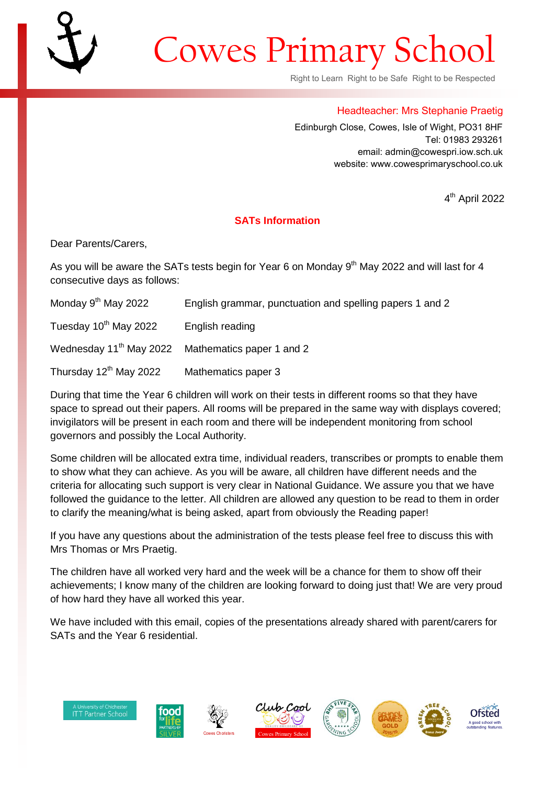## Cowes Primary School

Right to Learn Right to be Safe Right to be Respected

## Headteacher: Mrs Stephanie Praetig

Edinburgh Close, Cowes, Isle of Wight, PO31 8HF Tel: 01983 293261 email: admin@cowespri.iow.sch.uk website: www.cowesprimaryschool.co.uk

4 th April 2022

## **SATs Information**

Dear Parents/Carers,

As you will be aware the SATs tests begin for Year 6 on Monday  $9<sup>th</sup>$  May 2022 and will last for 4 consecutive days as follows:

| Monday 9 <sup>th</sup> May 2022    | English grammar, punctuation and spelling papers 1 and 2      |
|------------------------------------|---------------------------------------------------------------|
| Tuesday 10 <sup>th</sup> May 2022  | English reading                                               |
|                                    | Wednesday 11 <sup>th</sup> May 2022 Mathematics paper 1 and 2 |
| Thursday 12 <sup>th</sup> May 2022 | Mathematics paper 3                                           |

During that time the Year 6 children will work on their tests in different rooms so that they have space to spread out their papers. All rooms will be prepared in the same way with displays covered; invigilators will be present in each room and there will be independent monitoring from school governors and possibly the Local Authority.

Some children will be allocated extra time, individual readers, transcribes or prompts to enable them to show what they can achieve. As you will be aware, all children have different needs and the criteria for allocating such support is very clear in National Guidance. We assure you that we have followed the guidance to the letter. All children are allowed any question to be read to them in order to clarify the meaning/what is being asked, apart from obviously the Reading paper!

If you have any questions about the administration of the tests please feel free to discuss this with Mrs Thomas or Mrs Praetig.

The children have all worked very hard and the week will be a chance for them to show off their achievements; I know many of the children are looking forward to doing just that! We are very proud of how hard they have all worked this year.

We have included with this email, copies of the presentations already shared with parent/carers for SATs and the Year 6 residential.